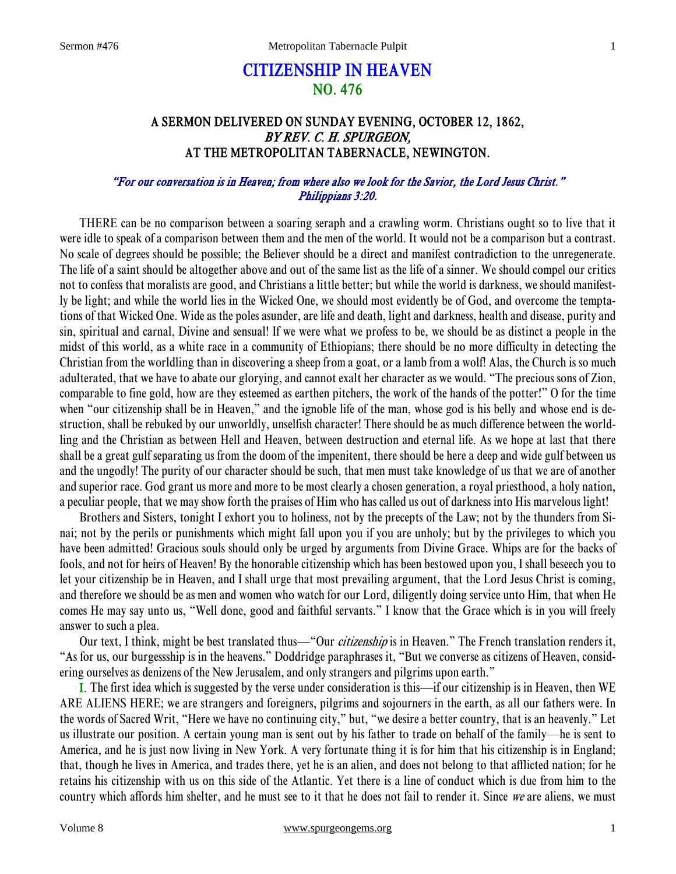# CITIZENSHIP IN HEAVEN NO. 476

# A SERMON DELIVERED ON SUNDAY EVENING, OCTOBER 12, 1862, BY REV. C. H. SPURGEON, AT THE METROPOLITAN TABERNACLE, NEWINGTON.

# "For our conversation is in Heaven; from where also we look for the Savior, the Lord Jesus Christ." Philippians 3:20.

THERE can be no comparison between a soaring seraph and a crawling worm. Christians ought so to live that it were idle to speak of a comparison between them and the men of the world. It would not be a comparison but a contrast. No scale of degrees should be possible; the Believer should be a direct and manifest contradiction to the unregenerate. The life of a saint should be altogether above and out of the same list as the life of a sinner. We should compel our critics not to confess that moralists are good, and Christians a little better; but while the world is darkness, we should manifestly be light; and while the world lies in the Wicked One, we should most evidently be of God, and overcome the temptations of that Wicked One. Wide as the poles asunder, are life and death, light and darkness, health and disease, purity and sin, spiritual and carnal, Divine and sensual! If we were what we profess to be, we should be as distinct a people in the midst of this world, as a white race in a community of Ethiopians; there should be no more difficulty in detecting the Christian from the worldling than in discovering a sheep from a goat, or a lamb from a wolf! Alas, the Church is so much adulterated, that we have to abate our glorying, and cannot exalt her character as we would. "The precious sons of Zion, comparable to fine gold, how are they esteemed as earthen pitchers, the work of the hands of the potter!" O for the time when "our citizenship shall be in Heaven," and the ignoble life of the man, whose god is his belly and whose end is destruction, shall be rebuked by our unworldly, unselfish character! There should be as much difference between the worldling and the Christian as between Hell and Heaven, between destruction and eternal life. As we hope at last that there shall be a great gulf separating us from the doom of the impenitent, there should be here a deep and wide gulf between us and the ungodly! The purity of our character should be such, that men must take knowledge of us that we are of another and superior race. God grant us more and more to be most clearly a chosen generation, a royal priesthood, a holy nation, a peculiar people, that we may show forth the praises of Him who has called us out of darkness into His marvelous light!

Brothers and Sisters, tonight I exhort you to holiness, not by the precepts of the Law; not by the thunders from Sinai; not by the perils or punishments which might fall upon you if you are unholy; but by the privileges to which you have been admitted! Gracious souls should only be urged by arguments from Divine Grace. Whips are for the backs of fools, and not for heirs of Heaven! By the honorable citizenship which has been bestowed upon you, I shall beseech you to let your citizenship be in Heaven, and I shall urge that most prevailing argument, that the Lord Jesus Christ is coming, and therefore we should be as men and women who watch for our Lord, diligently doing service unto Him, that when He comes He may say unto us, "Well done, good and faithful servants." I know that the Grace which is in you will freely answer to such a plea.

Our text, I think, might be best translated thus—"Our *citizenship* is in Heaven." The French translation renders it, "As for us, our burgessship is in the heavens." Doddridge paraphrases it, "But we converse as citizens of Heaven, considering ourselves as denizens of the New Jerusalem, and only strangers and pilgrims upon earth."

I. The first idea which is suggested by the verse under consideration is this—if our citizenship is in Heaven, then WE ARE ALIENS HERE; we are strangers and foreigners, pilgrims and sojourners in the earth, as all our fathers were. In the words of Sacred Writ, "Here we have no continuing city," but, "we desire a better country, that is an heavenly." Let us illustrate our position. A certain young man is sent out by his father to trade on behalf of the family—he is sent to America, and he is just now living in New York. A very fortunate thing it is for him that his citizenship is in England; that, though he lives in America, and trades there, yet he is an alien, and does not belong to that afflicted nation; for he retains his citizenship with us on this side of the Atlantic. Yet there is a line of conduct which is due from him to the country which affords him shelter, and he must see to it that he does not fail to render it. Since we are aliens, we must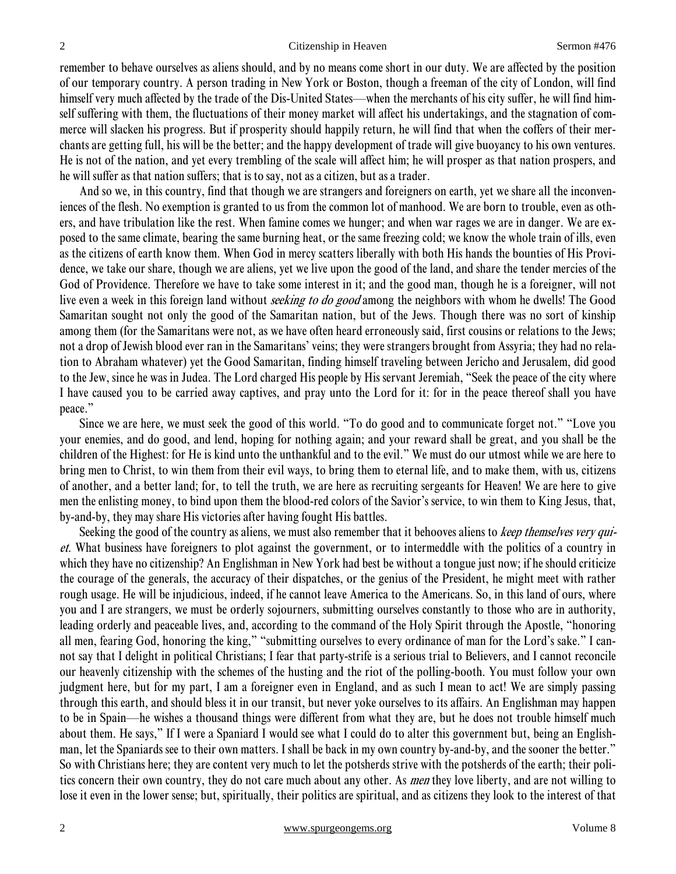remember to behave ourselves as aliens should, and by no means come short in our duty. We are affected by the position of our temporary country. A person trading in New York or Boston, though a freeman of the city of London, will find himself very much affected by the trade of the Dis-United States—when the merchants of his city suffer, he will find himself suffering with them, the fluctuations of their money market will affect his undertakings, and the stagnation of commerce will slacken his progress. But if prosperity should happily return, he will find that when the coffers of their merchants are getting full, his will be the better; and the happy development of trade will give buoyancy to his own ventures. He is not of the nation, and yet every trembling of the scale will affect him; he will prosper as that nation prospers, and he will suffer as that nation suffers; that is to say, not as a citizen, but as a trader.

And so we, in this country, find that though we are strangers and foreigners on earth, yet we share all the inconveniences of the flesh. No exemption is granted to us from the common lot of manhood. We are born to trouble, even as others, and have tribulation like the rest. When famine comes we hunger; and when war rages we are in danger. We are exposed to the same climate, bearing the same burning heat, or the same freezing cold; we know the whole train of ills, even as the citizens of earth know them. When God in mercy scatters liberally with both His hands the bounties of His Providence, we take our share, though we are aliens, yet we live upon the good of the land, and share the tender mercies of the God of Providence. Therefore we have to take some interest in it; and the good man, though he is a foreigner, will not live even a week in this foreign land without *seeking to do good* among the neighbors with whom he dwells! The Good Samaritan sought not only the good of the Samaritan nation, but of the Jews. Though there was no sort of kinship among them (for the Samaritans were not, as we have often heard erroneously said, first cousins or relations to the Jews; not a drop of Jewish blood ever ran in the Samaritans' veins; they were strangers brought from Assyria; they had no relation to Abraham whatever) yet the Good Samaritan, finding himself traveling between Jericho and Jerusalem, did good to the Jew, since he was in Judea. The Lord charged His people by His servant Jeremiah, "Seek the peace of the city where I have caused you to be carried away captives, and pray unto the Lord for it: for in the peace thereof shall you have peace."

Since we are here, we must seek the good of this world. "To do good and to communicate forget not." "Love you your enemies, and do good, and lend, hoping for nothing again; and your reward shall be great, and you shall be the children of the Highest: for He is kind unto the unthankful and to the evil." We must do our utmost while we are here to bring men to Christ, to win them from their evil ways, to bring them to eternal life, and to make them, with us, citizens of another, and a better land; for, to tell the truth, we are here as recruiting sergeants for Heaven! We are here to give men the enlisting money, to bind upon them the blood-red colors of the Savior's service, to win them to King Jesus, that, by-and-by, they may share His victories after having fought His battles.

Seeking the good of the country as aliens, we must also remember that it behooves aliens to *keep themselves very qui*et. What business have foreigners to plot against the government, or to intermeddle with the politics of a country in which they have no citizenship? An Englishman in New York had best be without a tongue just now; if he should criticize the courage of the generals, the accuracy of their dispatches, or the genius of the President, he might meet with rather rough usage. He will be injudicious, indeed, if he cannot leave America to the Americans. So, in this land of ours, where you and I are strangers, we must be orderly sojourners, submitting ourselves constantly to those who are in authority, leading orderly and peaceable lives, and, according to the command of the Holy Spirit through the Apostle, "honoring all men, fearing God, honoring the king," "submitting ourselves to every ordinance of man for the Lord's sake." I cannot say that I delight in political Christians; I fear that party-strife is a serious trial to Believers, and I cannot reconcile our heavenly citizenship with the schemes of the husting and the riot of the polling-booth. You must follow your own judgment here, but for my part, I am a foreigner even in England, and as such I mean to act! We are simply passing through this earth, and should bless it in our transit, but never yoke ourselves to its affairs. An Englishman may happen to be in Spain—he wishes a thousand things were different from what they are, but he does not trouble himself much about them. He says," If I were a Spaniard I would see what I could do to alter this government but, being an Englishman, let the Spaniards see to their own matters. I shall be back in my own country by-and-by, and the sooner the better." So with Christians here; they are content very much to let the potsherds strive with the potsherds of the earth; their politics concern their own country, they do not care much about any other. As men they love liberty, and are not willing to lose it even in the lower sense; but, spiritually, their politics are spiritual, and as citizens they look to the interest of that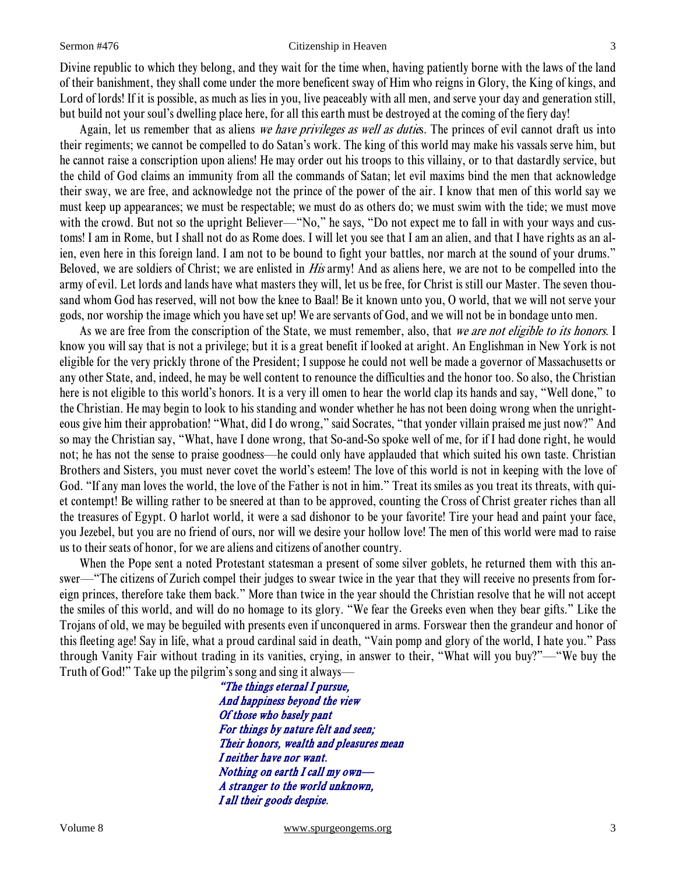#### Sermon #476 Citizenship in Heaven

Divine republic to which they belong, and they wait for the time when, having patiently borne with the laws of the land of their banishment, they shall come under the more beneficent sway of Him who reigns in Glory, the King of kings, and Lord of lords! If it is possible, as much as lies in you, live peaceably with all men, and serve your day and generation still, but build not your soul's dwelling place here, for all this earth must be destroyed at the coming of the fiery day!

Again, let us remember that as aliens we have privileges as well as duties. The princes of evil cannot draft us into their regiments; we cannot be compelled to do Satan's work. The king of this world may make his vassals serve him, but he cannot raise a conscription upon aliens! He may order out his troops to this villainy, or to that dastardly service, but the child of God claims an immunity from all the commands of Satan; let evil maxims bind the men that acknowledge their sway, we are free, and acknowledge not the prince of the power of the air. I know that men of this world say we must keep up appearances; we must be respectable; we must do as others do; we must swim with the tide; we must move with the crowd. But not so the upright Believer—"No," he says, "Do not expect me to fall in with your ways and customs! I am in Rome, but I shall not do as Rome does. I will let you see that I am an alien, and that I have rights as an alien, even here in this foreign land. I am not to be bound to fight your battles, nor march at the sound of your drums." Beloved, we are soldiers of Christ; we are enlisted in *His* army! And as aliens here, we are not to be compelled into the army of evil. Let lords and lands have what masters they will, let us be free, for Christ is still our Master. The seven thousand whom God has reserved, will not bow the knee to Baal! Be it known unto you, O world, that we will not serve your gods, nor worship the image which you have set up! We are servants of God, and we will not be in bondage unto men.

As we are free from the conscription of the State, we must remember, also, that we are not eligible to its honors. I know you will say that is not a privilege; but it is a great benefit if looked at aright. An Englishman in New York is not eligible for the very prickly throne of the President; I suppose he could not well be made a governor of Massachusetts or any other State, and, indeed, he may be well content to renounce the difficulties and the honor too. So also, the Christian here is not eligible to this world's honors. It is a very ill omen to hear the world clap its hands and say, "Well done," to the Christian. He may begin to look to his standing and wonder whether he has not been doing wrong when the unrighteous give him their approbation! "What, did I do wrong," said Socrates, "that yonder villain praised me just now?" And so may the Christian say, "What, have I done wrong, that So-and-So spoke well of me, for if I had done right, he would not; he has not the sense to praise goodness—he could only have applauded that which suited his own taste. Christian Brothers and Sisters, you must never covet the world's esteem! The love of this world is not in keeping with the love of God. "If any man loves the world, the love of the Father is not in him." Treat its smiles as you treat its threats, with quiet contempt! Be willing rather to be sneered at than to be approved, counting the Cross of Christ greater riches than all the treasures of Egypt. O harlot world, it were a sad dishonor to be your favorite! Tire your head and paint your face, you Jezebel, but you are no friend of ours, nor will we desire your hollow love! The men of this world were mad to raise us to their seats of honor, for we are aliens and citizens of another country.

When the Pope sent a noted Protestant statesman a present of some silver goblets, he returned them with this answer—"The citizens of Zurich compel their judges to swear twice in the year that they will receive no presents from foreign princes, therefore take them back." More than twice in the year should the Christian resolve that he will not accept the smiles of this world, and will do no homage to its glory. "We fear the Greeks even when they bear gifts." Like the Trojans of old, we may be beguiled with presents even if unconquered in arms. Forswear then the grandeur and honor of this fleeting age! Say in life, what a proud cardinal said in death, "Vain pomp and glory of the world, I hate you." Pass through Vanity Fair without trading in its vanities, crying, in answer to their, "What will you buy?"—"We buy the Truth of God!" Take up the pilgrim's song and sing it always—

> "The things eternal I pursue, And happiness beyond the view Of those who basely pant For things by nature felt and seen; Their honors, wealth and pleasures mean I neither have nor want. Nothing on earth I call my own— A stranger to the world unknown, I all their goods despise.

Volume 8 www.spurgeongems.org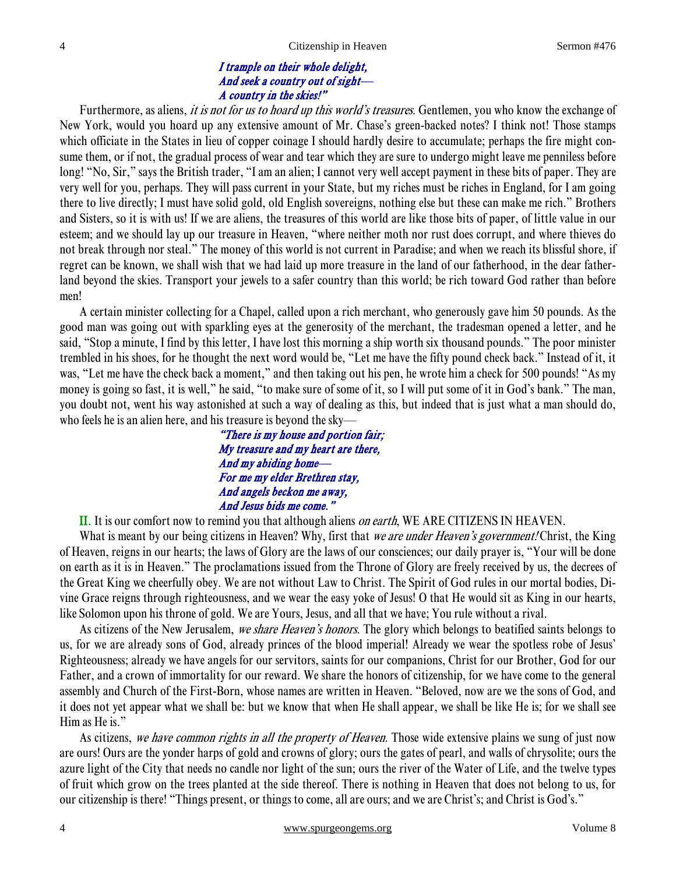# I trample on their whole delight, And seek a country out of sight— A country in the skies!"

Furthermore, as aliens, *it is not for us to hoard up this world's treasures*. Gentlemen, you who know the exchange of New York, would you hoard up any extensive amount of Mr. Chase's green-backed notes? I think not! Those stamps which officiate in the States in lieu of copper coinage I should hardly desire to accumulate; perhaps the fire might consume them, or if not, the gradual process of wear and tear which they are sure to undergo might leave me penniless before long! "No, Sir," says the British trader, "I am an alien; I cannot very well accept payment in these bits of paper. They are very well for you, perhaps. They will pass current in your State, but my riches must be riches in England, for I am going there to live directly; I must have solid gold, old English sovereigns, nothing else but these can make me rich." Brothers and Sisters, so it is with us! If we are aliens, the treasures of this world are like those bits of paper, of little value in our esteem; and we should lay up our treasure in Heaven, "where neither moth nor rust does corrupt, and where thieves do not break through nor steal." The money of this world is not current in Paradise; and when we reach its blissful shore, if regret can be known, we shall wish that we had laid up more treasure in the land of our fatherhood, in the dear fatherland beyond the skies. Transport your jewels to a safer country than this world; be rich toward God rather than before men!

A certain minister collecting for a Chapel, called upon a rich merchant, who generously gave him 50 pounds. As the good man was going out with sparkling eyes at the generosity of the merchant, the tradesman opened a letter, and he said, "Stop a minute, I find by this letter, I have lost this morning a ship worth six thousand pounds." The poor minister trembled in his shoes, for he thought the next word would be, "Let me have the fifty pound check back." Instead of it, it was, "Let me have the check back a moment," and then taking out his pen, he wrote him a check for 500 pounds! "As my money is going so fast, it is well," he said, "to make sure of some of it, so I will put some of it in God's bank." The man, you doubt not, went his way astonished at such a way of dealing as this, but indeed that is just what a man should do, who feels he is an alien here, and his treasure is beyond the sky—



II. It is our comfort now to remind you that although aliens on earth, WE ARE CITIZENS IN HEAVEN.

What is meant by our being citizens in Heaven? Why, first that we are under Heaven's government! Christ, the King of Heaven, reigns in our hearts; the laws of Glory are the laws of our consciences; our daily prayer is, "Your will be done on earth as it is in Heaven." The proclamations issued from the Throne of Glory are freely received by us, the decrees of the Great King we cheerfully obey. We are not without Law to Christ. The Spirit of God rules in our mortal bodies, Divine Grace reigns through righteousness, and we wear the easy yoke of Jesus! O that He would sit as King in our hearts, like Solomon upon his throne of gold. We are Yours, Jesus, and all that we have; You rule without a rival.

As citizens of the New Jerusalem, *we share Heaven's honors*. The glory which belongs to beatified saints belongs to us, for we are already sons of God, already princes of the blood imperial! Already we wear the spotless robe of Jesus' Righteousness; already we have angels for our servitors, saints for our companions, Christ for our Brother, God for our Father, and a crown of immortality for our reward. We share the honors of citizenship, for we have come to the general assembly and Church of the First-Born, whose names are written in Heaven. "Beloved, now are we the sons of God, and it does not yet appear what we shall be: but we know that when He shall appear, we shall be like He is; for we shall see Him as He is."

As citizens, we have common rights in all the property of Heaven. Those wide extensive plains we sung of just now are ours! Ours are the yonder harps of gold and crowns of glory; ours the gates of pearl, and walls of chrysolite; ours the azure light of the City that needs no candle nor light of the sun; ours the river of the Water of Life, and the twelve types of fruit which grow on the trees planted at the side thereof. There is nothing in Heaven that does not belong to us, for our citizenship is there! "Things present, or things to come, all are ours; and we are Christ's; and Christ is God's."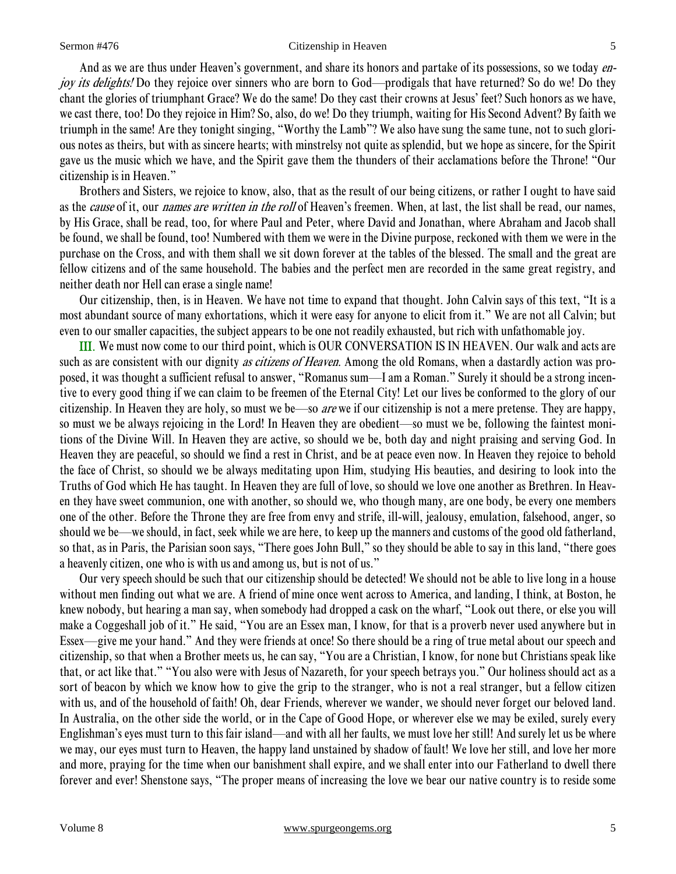### Sermon #476 Citizenship in Heaven

And as we are thus under Heaven's government, and share its honors and partake of its possessions, so we today enjoy its delights! Do they rejoice over sinners who are born to God—prodigals that have returned? So do we! Do they chant the glories of triumphant Grace? We do the same! Do they cast their crowns at Jesus' feet? Such honors as we have, we cast there, too! Do they rejoice in Him? So, also, do we! Do they triumph, waiting for His Second Advent? By faith we triumph in the same! Are they tonight singing, "Worthy the Lamb"? We also have sung the same tune, not to such glorious notes as theirs, but with as sincere hearts; with minstrelsy not quite as splendid, but we hope as sincere, for the Spirit gave us the music which we have, and the Spirit gave them the thunders of their acclamations before the Throne! "Our citizenship is in Heaven."

Brothers and Sisters, we rejoice to know, also, that as the result of our being citizens, or rather I ought to have said as the *cause* of it, our *names are written in the roll* of Heaven's freemen. When, at last, the list shall be read, our names, by His Grace, shall be read, too, for where Paul and Peter, where David and Jonathan, where Abraham and Jacob shall be found, we shall be found, too! Numbered with them we were in the Divine purpose, reckoned with them we were in the purchase on the Cross, and with them shall we sit down forever at the tables of the blessed. The small and the great are fellow citizens and of the same household. The babies and the perfect men are recorded in the same great registry, and neither death nor Hell can erase a single name!

Our citizenship, then, is in Heaven. We have not time to expand that thought. John Calvin says of this text, "It is a most abundant source of many exhortations, which it were easy for anyone to elicit from it." We are not all Calvin; but even to our smaller capacities, the subject appears to be one not readily exhausted, but rich with unfathomable joy.

III. We must now come to our third point, which is OUR CONVERSATION IS IN HEAVEN. Our walk and acts are such as are consistent with our dignity as citizens of Heaven. Among the old Romans, when a dastardly action was proposed, it was thought a sufficient refusal to answer, "Romanus sum—I am a Roman." Surely it should be a strong incentive to every good thing if we can claim to be freemen of the Eternal City! Let our lives be conformed to the glory of our citizenship. In Heaven they are holy, so must we be—so *are* we if our citizenship is not a mere pretense. They are happy, so must we be always rejoicing in the Lord! In Heaven they are obedient—so must we be, following the faintest monitions of the Divine Will. In Heaven they are active, so should we be, both day and night praising and serving God. In Heaven they are peaceful, so should we find a rest in Christ, and be at peace even now. In Heaven they rejoice to behold the face of Christ, so should we be always meditating upon Him, studying His beauties, and desiring to look into the Truths of God which He has taught. In Heaven they are full of love, so should we love one another as Brethren. In Heaven they have sweet communion, one with another, so should we, who though many, are one body, be every one members one of the other. Before the Throne they are free from envy and strife, ill-will, jealousy, emulation, falsehood, anger, so should we be—we should, in fact, seek while we are here, to keep up the manners and customs of the good old fatherland, so that, as in Paris, the Parisian soon says, "There goes John Bull," so they should be able to say in this land, "there goes a heavenly citizen, one who is with us and among us, but is not of us."

Our very speech should be such that our citizenship should be detected! We should not be able to live long in a house without men finding out what we are. A friend of mine once went across to America, and landing, I think, at Boston, he knew nobody, but hearing a man say, when somebody had dropped a cask on the wharf, "Look out there, or else you will make a Coggeshall job of it." He said, "You are an Essex man, I know, for that is a proverb never used anywhere but in Essex—give me your hand." And they were friends at once! So there should be a ring of true metal about our speech and citizenship, so that when a Brother meets us, he can say, "You are a Christian, I know, for none but Christians speak like that, or act like that." "You also were with Jesus of Nazareth, for your speech betrays you." Our holiness should act as a sort of beacon by which we know how to give the grip to the stranger, who is not a real stranger, but a fellow citizen with us, and of the household of faith! Oh, dear Friends, wherever we wander, we should never forget our beloved land. In Australia, on the other side the world, or in the Cape of Good Hope, or wherever else we may be exiled, surely every Englishman's eyes must turn to this fair island—and with all her faults, we must love her still! And surely let us be where we may, our eyes must turn to Heaven, the happy land unstained by shadow of fault! We love her still, and love her more and more, praying for the time when our banishment shall expire, and we shall enter into our Fatherland to dwell there forever and ever! Shenstone says, "The proper means of increasing the love we bear our native country is to reside some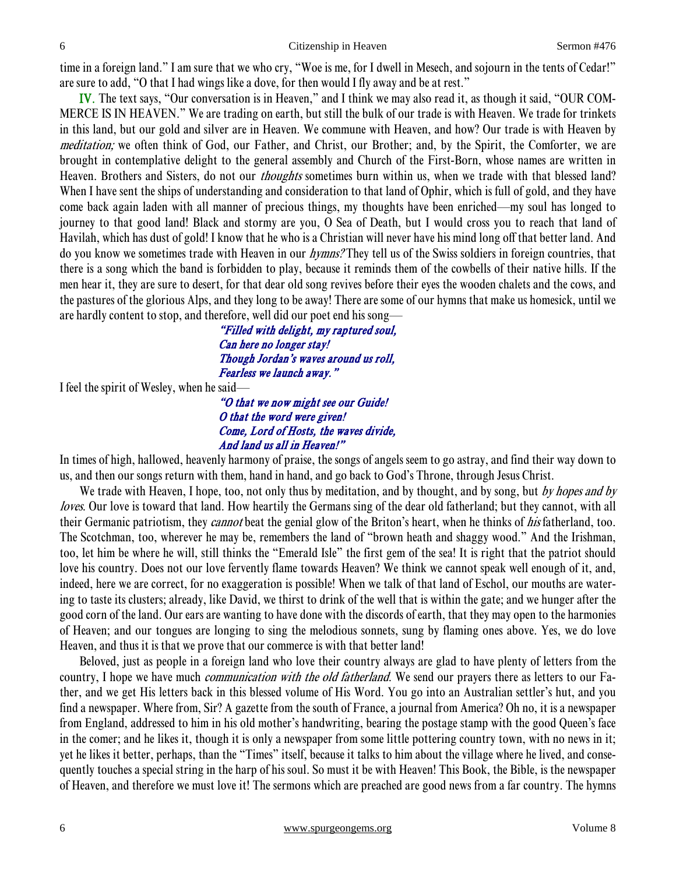time in a foreign land." I am sure that we who cry, "Woe is me, for I dwell in Mesech, and sojourn in the tents of Cedar!" are sure to add, "O that I had wings like a dove, for then would I fly away and be at rest."

IV. The text says, "Our conversation is in Heaven," and I think we may also read it, as though it said, "OUR COM-MERCE IS IN HEAVEN." We are trading on earth, but still the bulk of our trade is with Heaven. We trade for trinkets in this land, but our gold and silver are in Heaven. We commune with Heaven, and how? Our trade is with Heaven by meditation; we often think of God, our Father, and Christ, our Brother; and, by the Spirit, the Comforter, we are brought in contemplative delight to the general assembly and Church of the First-Born, whose names are written in Heaven. Brothers and Sisters, do not our *thoughts* sometimes burn within us, when we trade with that blessed land? When I have sent the ships of understanding and consideration to that land of Ophir, which is full of gold, and they have come back again laden with all manner of precious things, my thoughts have been enriched—my soul has longed to journey to that good land! Black and stormy are you, O Sea of Death, but I would cross you to reach that land of Havilah, which has dust of gold! I know that he who is a Christian will never have his mind long off that better land. And do you know we sometimes trade with Heaven in our hymns? They tell us of the Swiss soldiers in foreign countries, that there is a song which the band is forbidden to play, because it reminds them of the cowbells of their native hills. If the men hear it, they are sure to desert, for that dear old song revives before their eyes the wooden chalets and the cows, and the pastures of the glorious Alps, and they long to be away! There are some of our hymns that make us homesick, until we are hardly content to stop, and therefore, well did our poet end his song—

> "Filled with delight, my raptured soul, Can here no longer stay! Though Jordan's waves around us roll, Fearless we launch away."

I feel the spirit of Wesley, when he said—

"O that we now might see our Guide! O that the word were given! Come, Lord of Hosts, the waves divide, And land us all in Heaven!"

In times of high, hallowed, heavenly harmony of praise, the songs of angels seem to go astray, and find their way down to us, and then our songs return with them, hand in hand, and go back to God's Throne, through Jesus Christ.

We trade with Heaven, I hope, too, not only thus by meditation, and by thought, and by song, but by hopes and by loves. Our love is toward that land. How heartily the Germans sing of the dear old fatherland; but they cannot, with all their Germanic patriotism, they *cannot* beat the genial glow of the Briton's heart, when he thinks of *his* fatherland, too. The Scotchman, too, wherever he may be, remembers the land of "brown heath and shaggy wood." And the Irishman, too, let him be where he will, still thinks the "Emerald Isle" the first gem of the sea! It is right that the patriot should love his country. Does not our love fervently flame towards Heaven? We think we cannot speak well enough of it, and, indeed, here we are correct, for no exaggeration is possible! When we talk of that land of Eschol, our mouths are watering to taste its clusters; already, like David, we thirst to drink of the well that is within the gate; and we hunger after the good corn of the land. Our ears are wanting to have done with the discords of earth, that they may open to the harmonies of Heaven; and our tongues are longing to sing the melodious sonnets, sung by flaming ones above. Yes, we do love Heaven, and thus it is that we prove that our commerce is with that better land!

Beloved, just as people in a foreign land who love their country always are glad to have plenty of letters from the country, I hope we have much *communication with the old fatherland*. We send our prayers there as letters to our Father, and we get His letters back in this blessed volume of His Word. You go into an Australian settler's hut, and you find a newspaper. Where from, Sir? A gazette from the south of France, a journal from America? Oh no, it is a newspaper from England, addressed to him in his old mother's handwriting, bearing the postage stamp with the good Queen's face in the comer; and he likes it, though it is only a newspaper from some little pottering country town, with no news in it; yet he likes it better, perhaps, than the "Times" itself, because it talks to him about the village where he lived, and consequently touches a special string in the harp of his soul. So must it be with Heaven! This Book, the Bible, is the newspaper of Heaven, and therefore we must love it! The sermons which are preached are good news from a far country. The hymns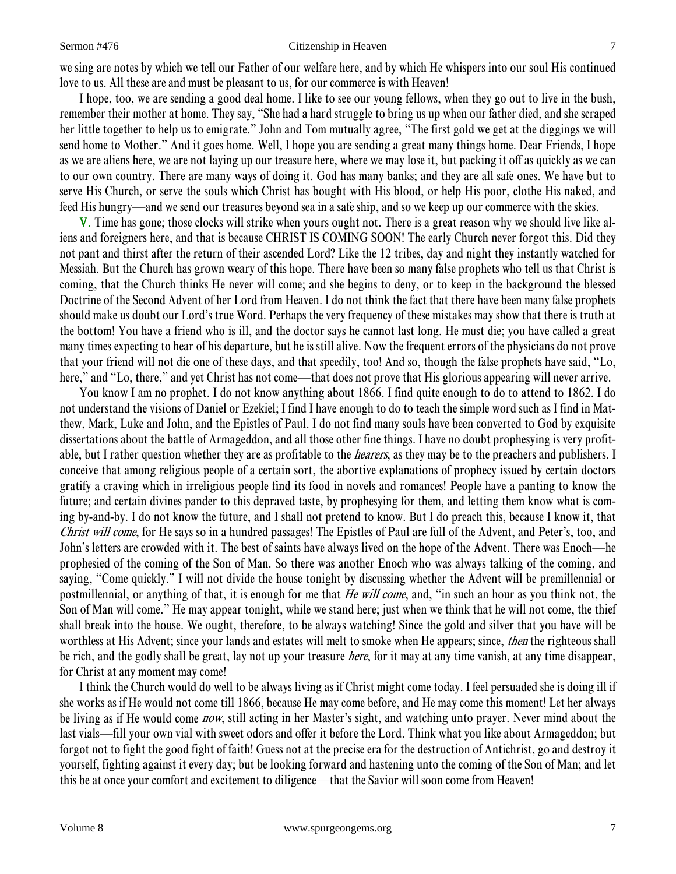#### Sermon #476 Citizenship in Heaven

we sing are notes by which we tell our Father of our welfare here, and by which He whispers into our soul His continued love to us. All these are and must be pleasant to us, for our commerce is with Heaven!

I hope, too, we are sending a good deal home. I like to see our young fellows, when they go out to live in the bush, remember their mother at home. They say, "She had a hard struggle to bring us up when our father died, and she scraped her little together to help us to emigrate." John and Tom mutually agree, "The first gold we get at the diggings we will send home to Mother." And it goes home. Well, I hope you are sending a great many things home. Dear Friends, I hope as we are aliens here, we are not laying up our treasure here, where we may lose it, but packing it off as quickly as we can to our own country. There are many ways of doing it. God has many banks; and they are all safe ones. We have but to serve His Church, or serve the souls which Christ has bought with His blood, or help His poor, clothe His naked, and feed His hungry—and we send our treasures beyond sea in a safe ship, and so we keep up our commerce with the skies.

V. Time has gone; those clocks will strike when yours ought not. There is a great reason why we should live like aliens and foreigners here, and that is because CHRIST IS COMING SOON! The early Church never forgot this. Did they not pant and thirst after the return of their ascended Lord? Like the 12 tribes, day and night they instantly watched for Messiah. But the Church has grown weary of this hope. There have been so many false prophets who tell us that Christ is coming, that the Church thinks He never will come; and she begins to deny, or to keep in the background the blessed Doctrine of the Second Advent of her Lord from Heaven. I do not think the fact that there have been many false prophets should make us doubt our Lord's true Word. Perhaps the very frequency of these mistakes may show that there is truth at the bottom! You have a friend who is ill, and the doctor says he cannot last long. He must die; you have called a great many times expecting to hear of his departure, but he is still alive. Now the frequent errors of the physicians do not prove that your friend will not die one of these days, and that speedily, too! And so, though the false prophets have said, "Lo, here," and "Lo, there," and yet Christ has not come—that does not prove that His glorious appearing will never arrive.

You know I am no prophet. I do not know anything about 1866. I find quite enough to do to attend to 1862. I do not understand the visions of Daniel or Ezekiel; I find I have enough to do to teach the simple word such as I find in Matthew, Mark, Luke and John, and the Epistles of Paul. I do not find many souls have been converted to God by exquisite dissertations about the battle of Armageddon, and all those other fine things. I have no doubt prophesying is very profitable, but I rather question whether they are as profitable to the *hearers*, as they may be to the preachers and publishers. I conceive that among religious people of a certain sort, the abortive explanations of prophecy issued by certain doctors gratify a craving which in irreligious people find its food in novels and romances! People have a panting to know the future; and certain divines pander to this depraved taste, by prophesying for them, and letting them know what is coming by-and-by. I do not know the future, and I shall not pretend to know. But I do preach this, because I know it, that Christ will come, for He says so in a hundred passages! The Epistles of Paul are full of the Advent, and Peter's, too, and John's letters are crowded with it. The best of saints have always lived on the hope of the Advent. There was Enoch—he prophesied of the coming of the Son of Man. So there was another Enoch who was always talking of the coming, and saying, "Come quickly." I will not divide the house tonight by discussing whether the Advent will be premillennial or postmillennial, or anything of that, it is enough for me that *He will come*, and, "in such an hour as you think not, the Son of Man will come." He may appear tonight, while we stand here; just when we think that he will not come, the thief shall break into the house. We ought, therefore, to be always watching! Since the gold and silver that you have will be worthless at His Advent; since your lands and estates will melt to smoke when He appears; since, *then* the righteous shall be rich, and the godly shall be great, lay not up your treasure *here*, for it may at any time vanish, at any time disappear, for Christ at any moment may come!

I think the Church would do well to be always living as if Christ might come today. I feel persuaded she is doing ill if she works as if He would not come till 1866, because He may come before, and He may come this moment! Let her always be living as if He would come *now*, still acting in her Master's sight, and watching unto prayer. Never mind about the last vials—fill your own vial with sweet odors and offer it before the Lord. Think what you like about Armageddon; but forgot not to fight the good fight of faith! Guess not at the precise era for the destruction of Antichrist, go and destroy it yourself, fighting against it every day; but be looking forward and hastening unto the coming of the Son of Man; and let this be at once your comfort and excitement to diligence—that the Savior will soon come from Heaven!

7